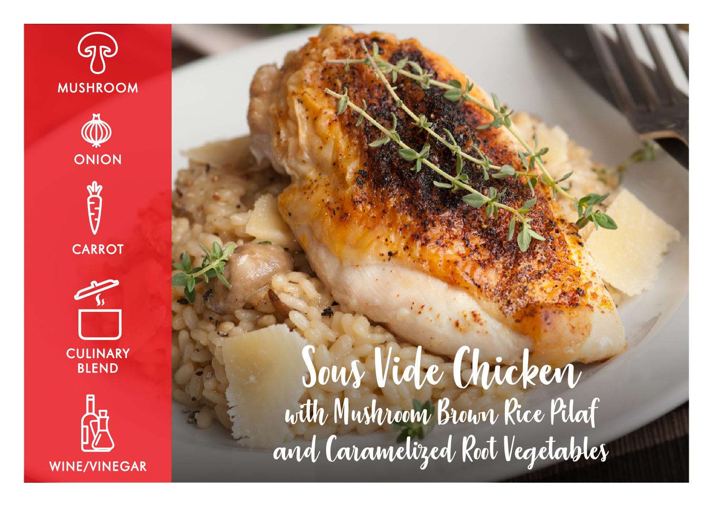

ONION







Sous Vide Chicken with Mushroom Brown Rice Pilaf and Caramelized Root Vegetables